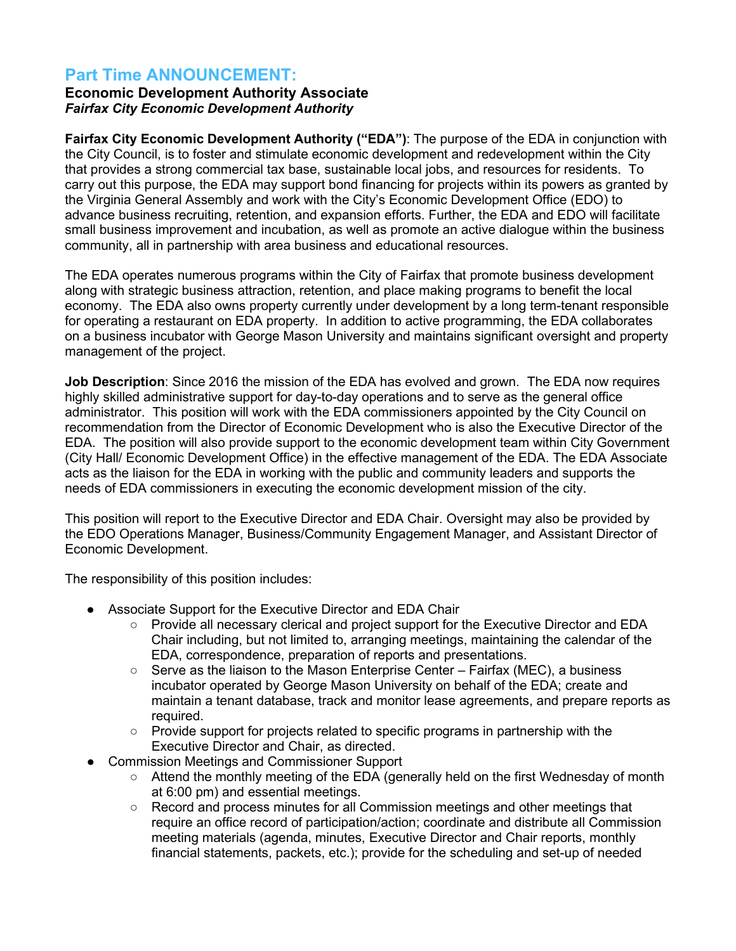## **Part Time ANNOUNCEMENT:**

## **Economic Development Authority Associate** *Fairfax City Economic Development Authority*

**Fairfax City Economic Development Authority ("EDA")**: The purpose of the EDA in conjunction with the City Council, is to foster and stimulate economic development and redevelopment within the City that provides a strong commercial tax base, sustainable local jobs, and resources for residents. To carry out this purpose, the EDA may support bond financing for projects within its powers as granted by the Virginia General Assembly and work with the City's Economic Development Office (EDO) to advance business recruiting, retention, and expansion efforts. Further, the EDA and EDO will facilitate small business improvement and incubation, as well as promote an active dialogue within the business community, all in partnership with area business and educational resources.

The EDA operates numerous programs within the City of Fairfax that promote business development along with strategic business attraction, retention, and place making programs to benefit the local economy. The EDA also owns property currently under development by a long term-tenant responsible for operating a restaurant on EDA property. In addition to active programming, the EDA collaborates on a business incubator with George Mason University and maintains significant oversight and property management of the project.

**Job Description**: Since 2016 the mission of the EDA has evolved and grown. The EDA now requires highly skilled administrative support for day-to-day operations and to serve as the general office administrator. This position will work with the EDA commissioners appointed by the City Council on recommendation from the Director of Economic Development who is also the Executive Director of the EDA. The position will also provide support to the economic development team within City Government (City Hall/ Economic Development Office) in the effective management of the EDA. The EDA Associate acts as the liaison for the EDA in working with the public and community leaders and supports the needs of EDA commissioners in executing the economic development mission of the city.

This position will report to the Executive Director and EDA Chair. Oversight may also be provided by the EDO Operations Manager, Business/Community Engagement Manager, and Assistant Director of Economic Development.

The responsibility of this position includes:

- Associate Support for the Executive Director and EDA Chair
	- Provide all necessary clerical and project support for the Executive Director and EDA Chair including, but not limited to, arranging meetings, maintaining the calendar of the EDA, correspondence, preparation of reports and presentations.
	- $\circ$  Serve as the liaison to the Mason Enterprise Center Fairfax (MEC), a business incubator operated by George Mason University on behalf of the EDA; create and maintain a tenant database, track and monitor lease agreements, and prepare reports as required.
	- Provide support for projects related to specific programs in partnership with the Executive Director and Chair, as directed.
- **Commission Meetings and Commissioner Support** 
	- Attend the monthly meeting of the EDA (generally held on the first Wednesday of month at 6:00 pm) and essential meetings.
	- Record and process minutes for all Commission meetings and other meetings that require an office record of participation/action; coordinate and distribute all Commission meeting materials (agenda, minutes, Executive Director and Chair reports, monthly financial statements, packets, etc.); provide for the scheduling and set-up of needed